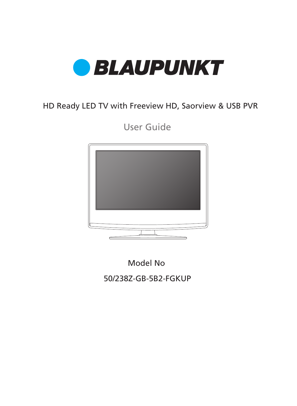

### HD Ready LED TV with Freeview HD, Saorview & USB PVR

User Guide



50/238Z-GB-5B2-FGKUP Model No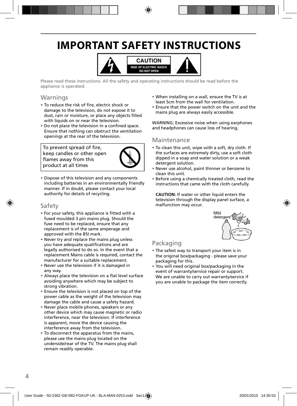## **IMPORTANT SAFETY INSTRUCTIONS**



Please read these instructions. All the safety and operating instructions should be read before the appliance is operated.

### Warnings

- To reduce the risk of fire, electric shock or damage to the television, do not expose it to dust, rain or moisture, or place any objects filled with liquids on or near the television.
- Do not place the television in a confined space. Ensure that nothing can obstruct the ventilation openings at the rear of the television.

To prevent spread of fire, keep candles or other open flames away from this product at all times



• Dispose of this television and any components including batteries in an environmentally friendly manner. If in doubt, please contact your local authority for details of recycling.

#### Safety

- For your safety, this appliance is fitted with a fused moulded 3 pin mains plug. Should the fuse need to be replaced, ensure that any replacement is of the same amperage and approved with the BSI mark.
- Never try and replace the mains plug unless you have adequate qualifications and are legally authorised to do so. In the event that a replacement Mains cable is required, contact the manufacturer for a suitable replacement.
- Never use the television if it is damaged in any way.
- Always place the television on a flat level surface avoiding anywhere which may be subject to strong vibration.
- Ensure the television is not placed on top of the power cable as the weight of the television may damage the cable and cause a safety hazard.
- Never place mobile phones, speakers or any other device which may cause magnetic or radio interference, near the television. If interference is apparent, move the device causing the interference away from the television.
- To disconnect the apparatus from the mains, please use the mains plug located on the underside/rear of the TV. The mains plug shall remain readily operable.
- When installing on a wall, ensure the TV is at least 5cm from the wall for ventilation.
- Ensure that the power switch on the unit and the mains plug are always easily accessible.

WARNING: Excessive noise when using earphones and headphones can cause loss of hearing.

#### Maintenance

- To clean this unit, wipe with a soft, dry cloth. If the surfaces are extremely dirty, use a soft cloth dipped in a soap and water solution or a weak detergent solution.
- Never use alcohol, paint thinner or benzene to clean this unit.
- Before using a chemically treated cloth, read the instructions that came with the cloth carefully.

**CAUTION:** If water or other liquid enters the television through the display panel surface, a malfunction may occur.



### Packaging

- The safest way to transport your item is in the original box/packaging - please save your packaging for this.
- You will need original box/packaging in the event of warranty/service repair or support. We are unable to carry out warranty/service if you are unable to package the item correctly.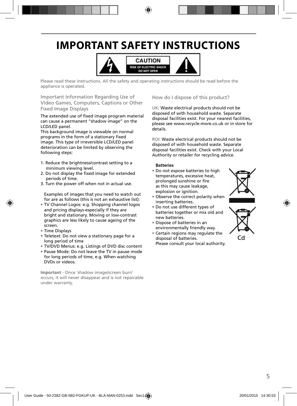## **IMPORTANT SAFETY INSTRUCTIONS**



Please read these instructions. All the safety and operating instructions should be read before the appliance is operated.

Important Information Regarding Use of Video Games, Computers, Captions or Other Fixed Image Displays

The extended use of fixed image program material can cause a permanent "shadow image" on the LCD/LED panel.

This background image is viewable on normal programs in the form of a stationary fixed image. This type of irreversible LCD/LED panel deterioration can be limited by observing the following steps:

- 1. Reduce the brightness/contrast setting to a minimum viewing level.
- 2. Do not display the fixed image for extended periods of time.
- 3. Turn the power off when not in actual use.

Examples of images that you need to watch out for are as follows (this is not an exhaustive list):

- TV Channel Logos: e.g. Shopping channel logos and pricing displays-especially if they are bright and stationary. Moving or low-contrast graphics are less likely to cause ageing of the screen.
- Time Displays
- Teletext: Do not view a stationary page for a long period of time
- TV/DVD Menus: e.g. Listings of DVD disc content
- Pause Mode: Do not leave the TV in pause mode for long periods of time, e.g. When watching DVDs or videos.

**Important** - Once 'shadow image/screen burn' occurs, it will never disappear and is not repairable under warranty.

How do I dispose of this product?

UK: Waste electrical products should not be disposed of with household waste. Separate disposal facilities exist. For your nearest facilities, please see www.recycle-more.co.uk or in store for details.

ROI: Waste electrical products should not be disposed of with household waste. Separate disposal facilities exist. Check with your Local Authority or retailer for recycling advice.

#### **Batteries**

- Do not expose batteries to high temperatures, excessive heat, prolonged sunshine or fire as this may cause leakage, explosion or ignition.
- Observe the correct polarity when inserting batteries.
- Do not use different types of batteries together or mix old and new batteries.
- Dispose of batteries in an environmentally friendly way.
- Certain regions may regulate the disposal of batteries. Please consult your local authority.



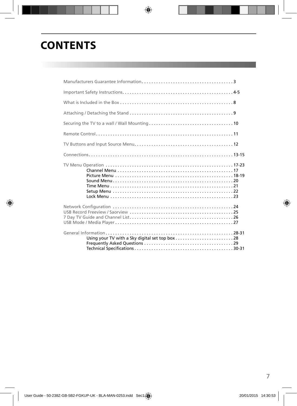## **CONTENTS**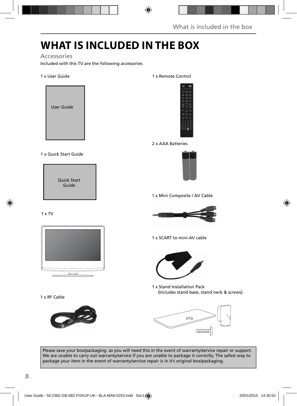## **WHAT IS INCLUDED IN THE BOX**

#### Accessories

Included with this TV are the following accessories

#### 1 x User Guide



#### 1 x Quick Start Guide

Quick Start Guide

#### 1 x TV



1 x RF Cable



#### 1 x Remote Control



2 x AAA Batteries



1 x Mini Composite / AV Cable



1 x SCART to mini-AV cable



1 x Stand Installation Pack (Includes stand base, stand neck & screws)



Please save your box/packaging. as you will need this in the event of warranty/service repair or support. We are unable to carry out warranty/service if you are unable to package it correctly. The safest way to package your item in the event of warranty/service repair is in it's original box/packaging.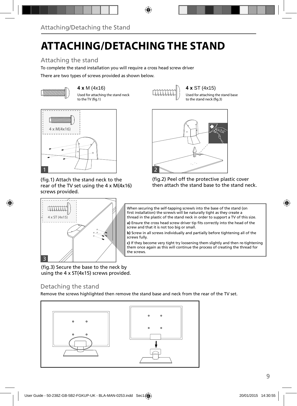# **ATTACHING/DETACHING THE STAND**

### Attaching the stand

To complete the stand installation you will require a cross head screw driver

There are two types of screws provided as shown below.



Used for attaching the stand neck to the TV (fig.1)



Used for attaching the stand base to the stand neck (fig.3)



(fig.1) Attach the stand neck to the rear of the TV set using the 4 x M(4x16) screws provided.



When securing the self-tapping screw/s into the base of the stand (on first installation) the screw/s will be naturally tight as they create a thread in the plastic of the stand neck in order to support a TV of this size.

(fig.2) Peel off the protective plastic cover then attach the stand base to the stand neck.

a) Ensure the cross head screw driver tip fits correctly into the head of the screw and that it is not too big or small.

**b)** Screw in all screws individually and partially before tightening all of the screws fully.

**c)** If they become very tight try loosening them slightly and then re-tightening them once again as this will continue the process of creating the thread for the screws.

(fig.3) Secure the base to the neck by using the 4 x ST(4x15) screws provided.

### Detaching the stand

Remove the screws highlighted then remove the stand base and neck from the rear of the TV set.

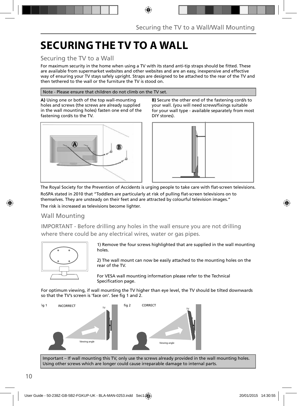# **SECURING THE TV TO A WALL**

### Securing the TV to a Wall

For maximum security in the home when using a TV with its stand anti-tip straps should be fitted. These are available from supermarket websites and other websites and are an easy, inexpensive and effective way of ensuring your TV stays safely upright. Straps are designed to be attached to the rear of the TV and then tethered to the wall or the furniture the TV is stood on.

#### Note - Please ensure that children do not climb on the TV set.

**A)** Using one or both of the top wall-mounting holes and screws (the screws are already supplied in the wall mounting holes) fasten one end of the fastening cord/s to the TV.



**B)** Secure the other end of the fastening cord/s to your wall. (you will need screws/fixings suitable for your wall type - available separately from most DIY stores).



The Royal Society for the Prevention of Accidents is urging people to take care with flat-screen televisions.

RoSPA stated in 2010 that "Toddlers are particularly at risk of pulling flat-screen televisions on to themselves. They are unsteady on their feet and are attracted by colourful television images." The risk is increased as televisions become lighter.

Wall Mounting

IMPORTANT - Before drilling any holes in the wall ensure you are not drilling where there could be any electrical wires, water or gas pipes.



1) Remove the four screws highlighted that are supplied in the wall mounting holes.

2) The wall mount can now be easily attached to the mounting holes on the rear of the TV.

For VESA wall mounting information please refer to the Technical Specification page.

For optimum viewing, if wall mounting the TV higher than eye level, the TV should be tilted downwards so that the TV's screen is 'face on'. See fig 1 and 2.



Important – If wall mounting this TV, only use the screws already provided in the wall mounting holes. Using other screws which are longer could cause irreparable damage to internal parts.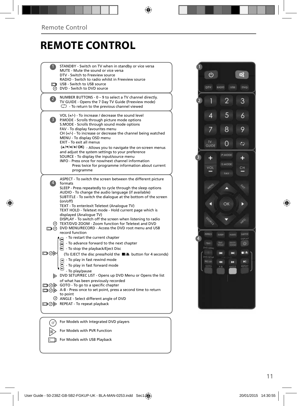## **REMOTE CONTROL**

|                          | STANDBY - Switch on TV when in standby or vice versa<br>MUTE - Mute the sound or vice versa<br>DTV - Switch to Freeview source<br>RADIO - Switch to radio whilst in Freeview source<br>USB - Switch to USB source<br>O DVD - Switch to DVD source                                                                                                                                                                                                                                                                                                                                                                            |  |
|--------------------------|------------------------------------------------------------------------------------------------------------------------------------------------------------------------------------------------------------------------------------------------------------------------------------------------------------------------------------------------------------------------------------------------------------------------------------------------------------------------------------------------------------------------------------------------------------------------------------------------------------------------------|--|
| $\mathbf{Z}$             | NUMBER BUTTONS - 0 - 9 to select a TV channel directly.<br>TV GUIDE - Opens the 7 Day TV Guide (Freeview mode)<br>$\mathbb{C}$ - To return to the previous channel viewed                                                                                                                                                                                                                                                                                                                                                                                                                                                    |  |
| 3)                       | VOL $(+/-)$ - To increase / decrease the sound level<br>P.MODE - Scrolls through picture mode options<br>S.MODE - Scrolls through sound mode options<br>FAV - To display favourites menu<br>$CH (+/-)$ - To increase or decrease the channel being watched<br>MENU - To display OSD menu<br><b>EXIT - To exit all menus</b><br>(A/V/4/M/OK) - Allows you to navigate the on-screen menus<br>and adjust the system settings to your preference<br>SOURCE - To display the input/source menu<br>INFO - Press once for now/next channel information<br>Press twice for programme information about current<br>programme         |  |
| $\left  4 \right\rangle$ | ASPECT - To switch the screen between the different picture<br>formats<br>SLEEP - Press repeatedly to cycle through the sleep options<br>AUDIO - To change the audio language (if available)<br>SUBTITLE - To switch the dialoque at the bottom of the screen<br>(on/off)<br>TEXT - To enter/exit Teletext (Analogue TV)<br>TEXT HOLD - Teletext mode - Hold current page which is<br>displayed (Analogue TV)<br>DISPLAY - To switch off the screen when listening to radio<br>TEXT/DVD ZOOM - Zoom function for Teletext and DVD<br>DIG DVD MENU/RECORD - Access the DVD root menu and USB<br>record function               |  |
| య⊙⊫                      | - To restart the current chapter<br>To advance forward to the next chapter<br><b>B</b> - To stop the playback/Eject Disc<br>(To EJECT the disc press/hold the ■/▲ button for 4 seconds)<br>$\left( \widehat{m} \right)$ - To play in fast rewind mode<br>- To play in fast forward mode<br>- To play/pause<br>DVD SETUP/REC LIST - Opens up DVD Menu or Opens the list<br>of what has been previously recorded<br>□ ⊙ > GOTO - To go to a specific chapter<br>□ ⊙ D A-B - Press once to set point, press a second time to return<br>to point<br>© ANGLE - Select different angle of DVD<br>□ ⊙ D REPEAT - To repeat playback |  |
|                          | For Models with Integrated DVD players                                                                                                                                                                                                                                                                                                                                                                                                                                                                                                                                                                                       |  |
|                          | For Models with PVR Function                                                                                                                                                                                                                                                                                                                                                                                                                                                                                                                                                                                                 |  |

For Models with USB Playback

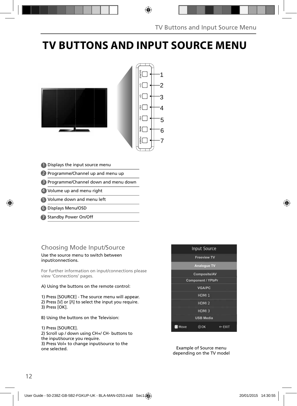# **TV BUTTONS AND INPUT SOURCE MENU**



- Displays the input source menu 1
- 2 Programme/Channel up and menu up
- Programme/Channel down and menu down 3
- 4 Volume up and menu right
- 5 Volume down and menu left
- Displays Menu/OSD 6
- 7 Standby Power On/Off

### Choosing Mode Input/Source

#### Use the source menu to switch between input/connections.

For further information on input/connections please view 'Connections' pages.

#### A) Using the buttons on the remote control:

1) Press [SOURCE] - The source menu will appear. 2) Press  $[V]$  or  $[\Lambda]$  to select the input you require. 3) Press [OK].

B) Using the buttons on the Television:

#### 1) Press [SOURCE].

2) Scroll up / down using CH+/ CH- buttons to the input/source you require. 3) Press Vol+ to change input/source to the one selected.



Example of Source menu depending on the TV model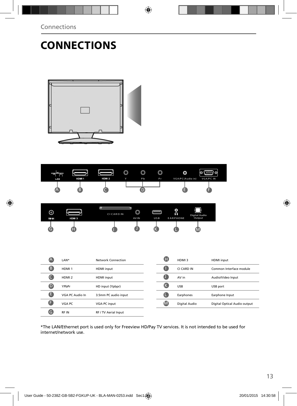# **CONNECTIONS**



| m<br>LAN | HDM 1 | HDM <sub>2</sub> | ◚<br>رب<br>Y | ⋒<br>◡<br><b>P</b> b | $\circledcirc$<br>Pr | O<br>VGA/PC(Audio in) | (∷∷:) ⊙ <br>O<br><b>VGA/PC IN</b> |
|----------|-------|------------------|--------------|----------------------|----------------------|-----------------------|-----------------------------------|
| ∡≞≖      |       |                  |              |                      |                      |                       |                                   |

| ⊚<br>RF IN | HDM 3 | <b>CICARDIN</b> | AV IN | USB | ٥<br>↷<br><b>EARPHONE</b> | Digital Audio<br>Output |  |
|------------|-------|-----------------|-------|-----|---------------------------|-------------------------|--|
| ٩G.        |       |                 |       |     |                           |                         |  |

| (A | LAN*              | Network Connection   | Œ            | HDMI3         | <b>HDMI</b> input            |
|----|-------------------|----------------------|--------------|---------------|------------------------------|
| ß  | HDMI <sub>1</sub> | <b>HDMI</b> input    |              | CI CARD IN    | Common Interface module      |
|    | HDMI <sub>2</sub> | <b>HDMI</b> input    |              | AV in         | Audio/Video Input            |
| O  | YPbPr             | HD input (Ypbpr)     | ίK           | <b>USB</b>    | USB port                     |
| A  | VGA PC Audio In   | 3.5mm PC audio input |              | Earphones     | Earphone Input               |
| A  | VGA PC            | VGA-PC input         | $\mathsf{M}$ | Digital Audio | Digital Optical Audio output |
| G  | <b>RFIN</b>       | RF / TV Aerial Input |              |               |                              |

\*The LAN/Ethernet port is used only for Freeview HD/Pay TV services. It is not intended to be used for internet/network use.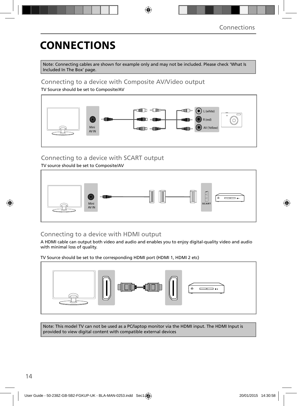# **CONNECTIONS**

Note: Connecting cables are shown for example only and may not be included. Please check 'What Is Included In The Box' page.

### Connecting to a device with Composite AV/Video output

TV Source should be set to Composite/AV



### Connecting to a device with SCART output

TV source should be set to Composite/AV



### Connecting to a device with HDMI output

A HDMI cable can output both video and audio and enables you to enjoy digital-quality video and audio with minimal loss of quality.

TV Source should be set to the corresponding HDMI port (HDMI 1, HDMI 2 etc)



Note: This model TV can not be used as a PC/laptop monitor via the HDMI input. The HDMI Input is provided to view digital content with compatible external devices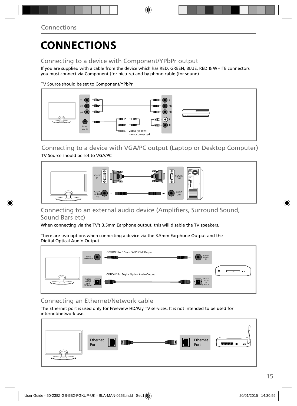# **CONNECTIONS**

### Connecting to a device with Component/YPbPr output

If you are supplied with a cable from the device which has RED, GREEN, BLUE, RED & WHITE connectors you must connect via Component (for picture) and by phono cable (for sound).

TV Source should be set to Component/YPbPr



Connecting to a device with VGA/PC output (Laptop or Desktop Computer) TV Source should be set to VGA/PC



### Connecting to an external audio device (Amplifiers, Surround Sound, Sound Bars etc)

When connecting via the TV's 3.5mm Earphone output, this will disable the TV speakers.

There are two options when connecting a device via the 3.5mm Earphone Output and the Digital Optical Audio Output



### Connecting an Ethernet/Network cable

The Ethernet port is used only for Freeview HD/Pay TV services. It is not intended to be used for internet/network use.

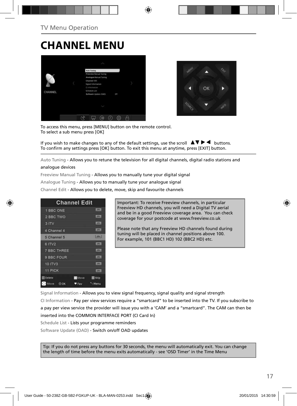## **CHANNEL MENU**





To access this menu, press [MENU] button on the remote control. To select a sub menu press [OK]

If you wish to make changes to any of the default settings, use the scroll  $\blacktriangle \blacktriangledown \blacktriangleright \blacktriangleleft$  buttons. To confirm any settings press [OK] button. To exit this menu at anytime, press [EXIT] button.

Auto Tuning - Allows you to retune the television for all digital channels, digital radio stations and

#### analogue devices

Freeview Manual Tuning - Allows you to manually tune your digital signal

Analogue Tuning - Allows you to manually tune your analogue signal

Channel Edit - Allows you to delete, move, skip and favourite channels

| <b>Channel Edit</b> |             |                |
|---------------------|-------------|----------------|
| 1 BBC ONE           |             | <b>LIBRARY</b> |
| 2 BBC TWO           |             |                |
| 3 ITV               |             | 1,0741         |
| 4 Channel 4         |             | <b>LOTAL</b>   |
| 5 Channel 5         |             | $5000 - 1$     |
| 6 ITV2              |             | 10000          |
| <b>7 BBC THREE</b>  |             | <b>LOTH</b>    |
| 9 BBC FOUR          |             | <b>DV</b>      |
| 10 ITV3             |             | <b>CONTI</b>   |
| 11 PICK             |             | <b>LOTAL</b>   |
| <b>Delete</b>       | <b>Move</b> | <b>Skip</b>    |
| Move<br>00K         | Fay         | Menu           |

Important: To receive Freeview channels, in particular Freeview HD channels, you will need a Digital TV aerial and be in a good Freeview coverage area. You can check coverage for your postcode at www.freeview.co.uk

Please note that any Freeview HD channels found during tuning will be placed in channel positions above 100. For example, 101 (BBC1 HD) 102 (BBC2 HD) etc.

Signal Information - Allows you to view signal frequency, signal quality and signal strength CI Information - Pay per view services require a "smartcard" to be inserted into the TV. If you subscribe to a pay per view service the provider will issue you with a 'CAM' and a "smartcard". The CAM can then be inserted into the COMMON INTERFACE PORT (CI Card In) Schedule List - Lists your programme reminders

Software Update (OAD) - Switch on/off OAD updates

Tip: If you do not press any buttons for 30 seconds, the menu will automatically exit. You can change the length of time before the menu exits automatically - see 'OSD Timer' in the Time Menu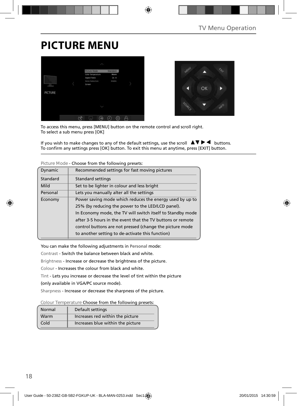## **PICTURE MENU**





To access this menu, press [MENU] button on the remote control and scroll right. To select a sub menu press [OK]

If you wish to make changes to any of the default settings, use the scroll  $\Box \blacktriangledown \blacktriangleright \blacktriangleleft$  buttons. To confirm any settings press [OK] button. To exit this menu at anytime, press [EXIT] button.

| Dynamic                                              | Recommended settings for fast moving pictures              |  |  |  |  |
|------------------------------------------------------|------------------------------------------------------------|--|--|--|--|
| Standard                                             | <b>Standard settings</b>                                   |  |  |  |  |
| Mild                                                 | Set to be lighter in colour and less bright                |  |  |  |  |
| Personal<br>Lets you manually alter all the settings |                                                            |  |  |  |  |
| Economy                                              | Power saving mode which reduces the energy used by up to   |  |  |  |  |
|                                                      | 25% (by reducing the power to the LED/LCD panel).          |  |  |  |  |
|                                                      | In Economy mode, the TV will switch itself to Standby mode |  |  |  |  |
|                                                      | after 3-5 hours in the event that the TV buttons or remote |  |  |  |  |
|                                                      | control buttons are not pressed (change the picture mode   |  |  |  |  |
|                                                      | to another setting to de-activate this function)           |  |  |  |  |

**Picture Mode** - Choose from the following presets:

You can make the following adjustments in **Personal** mode:

Contrast - Switch the balance between black and white.

Brightness - Increase or decrease the brightness of the picture.

Colour - Increases the colour from black and white.

Tint - Lets you increase or decrease the level of tint within the picture

(only available in VGA/PC source mode).

Sharpness - Increase or decrease the sharpness of the picture.

**Colour Temperature** Choose from the following presets:

| Normal | Default settings                  |
|--------|-----------------------------------|
| Warm   | Increases red within the picture  |
| Cold   | Increases blue within the picture |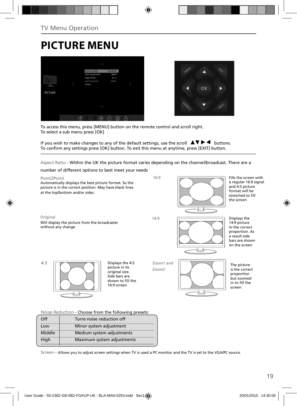## **PICTURE MENU**





To access this menu, press [MENU] button on the remote control and scroll right. To select a sub menu press [OK]

If you wish to make changes to any of the default settings, use the scroll  $\blacktriangle \blacktriangledown \blacktriangleright \blacktriangleleft$  buttons. To confirm any settings press [OK] button. To exit this menu at anytime, press [EXIT] button.

Aspect Ratio - Within the UK the picture format varies depending on the channel/broadcast. There are a



#### **Noise Reduction** - Choose from the following presets:

| Off                            | Turns noise reduction off  |  |
|--------------------------------|----------------------------|--|
| Minor system adjustment<br>Low |                            |  |
| Middle                         | Medium system adjustments  |  |
| High                           | Maximum system adjustments |  |
|                                |                            |  |

Screen - Allows you to adjust screen settings when TV is used a PC monitor and the TV is set to the VGA/PC source.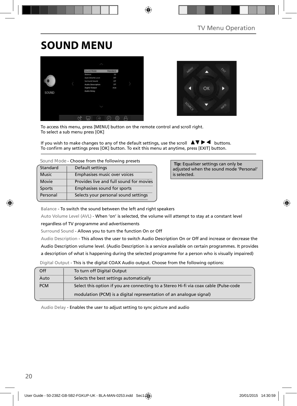# **SOUND MENU**





To access this menu, press [MENU] button on the remote control and scroll right. To select a sub menu press [OK]

If you wish to make changes to any of the default settings, use the scroll  $\blacktriangle \blacktriangledown \blacktriangleright \blacktriangleleft$  buttons. To confirm any settings press [OK] button. To exit this menu at anytime, press [EXIT] button.

| Sound Mode - Choose from the following presets |  |  |  |  |
|------------------------------------------------|--|--|--|--|
|------------------------------------------------|--|--|--|--|

| Standard     | Default settings                        |
|--------------|-----------------------------------------|
| <b>Music</b> | Emphasises music over voices            |
| Movie        | Provides live and full sound for movies |
| Sports       | Emphasises sound for sports             |
| Personal     | Selects your personal sound settings    |

 **Tip:** Equaliser settings can only be adjusted when the sound mode 'Personal' is selected.

Balance - To switch the sound between the left and right speakers

Auto Volume Level (AVL) - When 'on' is selected, the volume will attempt to stay at a constant level

regardless of TV programme and advertisements

Surround Sound - Allows you to turn the function On or Off

Audio Description - This allows the user to switch Audio Description On or Off and increase or decrease the Audio Description volume level. (Audio Description is a service available on certain programmes. It provides a description of what is happening during the selected programme for a person who is visually impaired)

Digital Output - This is the digital COAX Audio output. Choose from the following options:

| Off        | To turn off Digital Output                                                            |
|------------|---------------------------------------------------------------------------------------|
| Auto       | Selects the best settings automatically                                               |
| <b>PCM</b> | Select this option if you are connecting to a Stereo Hi-fi via coax cable (Pulse-code |
|            | modulation (PCM) is a digital representation of an analogue signal)                   |
|            |                                                                                       |

Audio Delay - Enables the user to adjust setting to sync picture and audio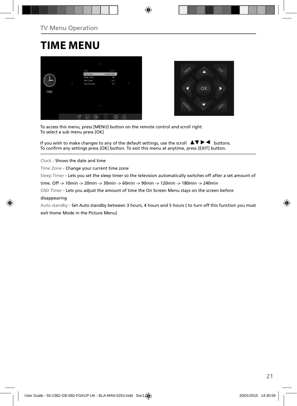### **TIME MENU**





To access this menu, press [MENU] button on the remote control and scroll right. To select a sub menu press [OK]

If you wish to make changes to any of the default settings, use the scroll  $\Box \blacktriangledown \blacktriangleright \blacktriangleleft$  buttons. To confirm any settings press [OK] button. To exit this menu at anytime, press [EXIT] button.

Clock - Shows the date and time

Time Zone - Change your current time zone

Sleep Timer - Lets you set the sleep timer so the television automatically switches off after a set amount of

time. Off -> 10min -> 20min -> 30min -> 60min -> 90min -> 120min -> 180min -> 240min

OSD Timer - Lets you adjust the amount of time the On Screen Menu stays on the screen before

#### disappearing

Auto standby - Set Auto standby between 3 hours, 4 hours and 5 hours ( to turn off this function you must exit Home Mode in the Picture Menu)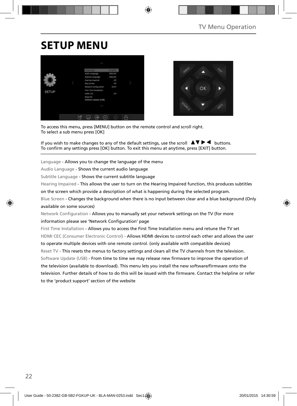## **SETUP MENU**





To access this menu, press [MENU] button on the remote control and scroll right. To select a sub menu press [OK]

If you wish to make changes to any of the default settings, use the scroll  $\Box \Box \blacktriangleright \blacktriangleleft$  buttons. To confirm any settings press [OK] button. To exit this menu at anytime, press [EXIT] button.

Language - Allows you to change the language of the menu

Audio Language - Shows the current audio language

Subtitle Language - Shows the current subtitle language

Hearing Impaired - This allows the user to turn on the Hearing Impaired function, this produces subtitles

on the screen which provide a description of what is happening during the selected program.

Blue Screen - Changes the background when there is no input between clear and a blue background (Only available on some sources)

Network Configuration - Allows you to manually set your network settings on the TV (for more information please see 'Network Configuration' page

First Time Installation - Allows you to access the First Time Installation menu and retune the TV set HDMI CEC (Consumer Electronic Control) - Allows HDMI devices to control each other and allows the user to operate multiple devices with one remote control. (only available with compatible devices) Reset TV - This resets the menus to factory settings and clears all the TV channels from the television. Software Update (USB) - From time to time we may release new firmware to improve the operation of the television (available to download). This menu lets you install the new software/firmware onto the television. Further details of how to do this will be issued with the firmware. Contact the helpline or refer to the 'product support' section of the website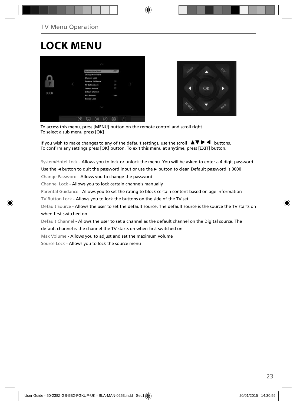## **LOCK MENU**





To access this menu, press [MENU] button on the remote control and scroll right. To select a sub menu press [OK]

If you wish to make changes to any of the default settings, use the scroll  $\Delta \nabla \blacktriangleright$   $\blacktriangleleft$  buttons. To confirm any settings press [OK] button. To exit this menu at anytime, press [EXIT] button.

System/Hotel Lock - Allows you to lock or unlock the menu. You will be asked to enter a 4 digit password

Use the **◄** button to quit the password input or use the **►** button to clear. Default password is 0000

Change Password - Allows you to change the password

Channel Lock - Allows you to lock certain channels manually

Parental Guidance - Allows you to set the rating to block certain content based on age information

TV Button Lock - Allows you to lock the buttons on the side of the TV set

Default Source - Allows the user to set the default source. The default source is the source the TV starts on when first switched on

Default Channel - Allows the user to set a channel as the default channel on the Digital source. The

default channel is the channel the TV starts on when first switched on

Max Volume - Allows you to adjust and set the maximum volume

Source Lock - Allows you to lock the source menu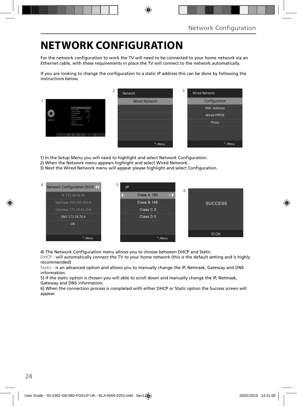## **NETWORK CONFIGURATION**

For the network configuration to work the TV will need to be connected to your home network via an Ethernet cable, with these requirements in place the TV will connect to the network automatically.

If you are looking to change the configuration to a static IP address this can be done by following the instructions below.



1) In the Setup Menu you will need to highlight and select Network Configuration.

- 2) When the Network menu appears highlight and select Wired Network.
- 3) Next the Wired Network menu will appear please highlight and select Configuration.



4) The Network Configuration menu allows you to choose between DHCP and Static.

DHCP - will automatically connect the TV to your home network (this is the default setting and is highly recommended)

Static - is an advanced option and allows you to manually change the IP, Netmask, Gateway and DNS information.

5) If the static option is chosen you will able to scroll down and manually change the IP, Netmask, Gateway and DNS information.

6) When the connection process is completed with either DHCP or Static option the Success screen will appear.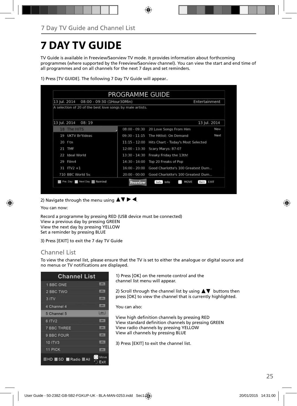# **7 DAY TV GUIDE**

TV Guide is available in Freeview/Saorview TV mode. It provides information about forthcoming programmes (where supported by the Freeview/Saorview channel). You can view the start and end time of all programmes and on all channels for the next 7 days and set reminders.

|  |  |  |  |  |  |  |  |  | 1) Press [TV GUIDE]. The following 7 Day TV Guide will appear |  |
|--|--|--|--|--|--|--|--|--|---------------------------------------------------------------|--|
|--|--|--|--|--|--|--|--|--|---------------------------------------------------------------|--|

| 13 Jul. 2014                      |
|-----------------------------------|
| Now                               |
| Next                              |
|                                   |
|                                   |
|                                   |
|                                   |
| Good Charlotte's 100 Greatest Dum |
| Good Charlotte's 100 Greatest Dum |
|                                   |

2) Navigate through the menu using  $\blacktriangle \blacktriangledown \blacktriangleright \blacktriangleleft$ .

You can now:

Record a programme by pressing RED (USB device must be connected) View a previous day by pressing GREEN View the next day by pressing YELLOW Set a reminder by pressing BLUE

3) Press [EXIT] to exit the 7 day TV Guide

### Channel List

To view the channel list, please ensure that the TV is set to either the analogue or digital source and no menus or TV notifications are displayed.

| <b>Channel List</b>           |               |
|-------------------------------|---------------|
| 1 BBC ONE                     | <b>LODGE</b>  |
| 2 BBC TWO                     | <b>LOTS</b>   |
| 3 ITV                         | <b>LIGHTY</b> |
| 4 Channel 4                   | <b>LOTH</b>   |
| 5 Channel 5                   | <b>ELETY</b>  |
| 6 ITV2                        | m             |
| <b>7 BBC THREE</b>            | <b>ISBN</b>   |
| 9 BBC FOUR                    | m             |
| <b>10 ITV3</b>                | m             |
| 11 PICK                       | ᇒ             |
| ×<br><b>HHD SD Radio MAII</b> | Move<br>Exit  |

1) Press [OK] on the remote control and the channel list menu will appear.

2) Scroll through the channel list by using  $\blacktriangle \blacktriangledown$  buttons then press [OK] to view the channel that is currently highlighted.

You can also:

View high definition channels by pressing RED View standard definition channels by pressing GREEN View radio channels by pressing YELLOW View all channels by pressing BLUE

3) Press [EXIT] to exit the channel list.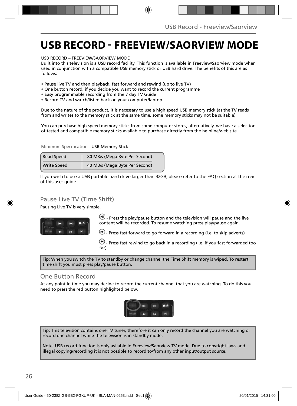### **USB RECORD - FREEVIEW/SAORVIEW MODE**

USB RECORD – FREEVIEW/SAORVIEW MODE

Built into this television is a USB record facility. This function is available in Freeview/Saorview mode when used in conjunction with a compatible USB memory stick or USB hard drive. The benefits of this are as follows:

- Pause live TV and then playback, fast forward and rewind (up to live TV)
- One button record, if you decide you want to record the current programme
- Easy programmable recording from the 7 day TV Guide
- Record TV and watch/listen back on your computer/laptop

Due to the nature of the product, it is necessary to use a high speed USB memory stick (as the TV reads from and writes to the memory stick at the same time, some memory sticks may not be suitable)

You can purchase high speed memory sticks from some computer stores, alternatively, we have a selection of tested and compatible memory sticks available to purchase directly from the helpline/web site.

Minimum Specification - USB Memory Stick

| <b>Read Speed</b>  | 80 MB/s (Mega Byte Per Second) |  |  |
|--------------------|--------------------------------|--|--|
| <b>Write Speed</b> | 40 MB/s (Mega Byte Per Second) |  |  |

**If you wish to use a USB portable hard drive larger than 32GB, please refer to the FAQ section at the rear of this user guide.**

### Pause Live TV (Time Shift)

Pausing Live TV is very simple.



 $\left(\mathbf{H}\right)$  - Press the play/pause button and the television will pause and the live content will be recorded. To resume watching press play/pause again.

 $\bigoplus$  - Press fast forward to go forward in a recording (i.e. to skip adverts)

 $\bigcirc$  - Press fast rewind to go back in a recording (i.e. if you fast forwarded too far)

Tip: When you switch the TV to standby or change channel the Time Shift memory is wiped. To restart time shift you must press play/pause button.

#### One Button Record

At any point in time you may decide to record the current channel that you are watching. To do this you need to press the red button highlighted below.



Tip: This television contains one TV tuner, therefore it can only record the channel you are watching or record one channel while the television is in standby mode.

Note: USB record function is only avilable in Freeview/Saorview TV mode. Due to copyright laws and illegal copying/recording it is not possible to record to/from any other input/output source.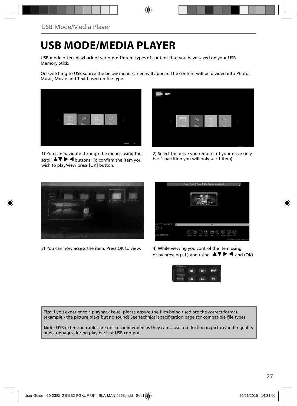### **USB MODE/MEDIA PLAYER**

USB mode offers playback of various different types of content that you have saved on your USB Memory Stick.

On switching to USB source the below menu screen will appear. The content will be divided into Photo, Music, Movie and Text based on file type.



1) You can navigate through the menus using the scroll  $\triangle \triangledown \triangleright \blacktriangle$  buttons. To confirm the item you wish to play/view press [OK] button.



2) Select the drive you require. (If your drive only has 1 partition you will only see 1 item).



3) You can now access the item. Press OK to view. 4) While viewing you control the item using



or by pressing ( i ) and using  $\Delta \nabla \blacktriangleright$   $\blacktriangle$  and (OK)



Tip: If you experience a playback issue, please ensure the files being used are the correct format (example - the picture plays but no sound) See technical specification page for compatible file types

**Note:** USB extension cables are not recommended as they can cause a reduction in picture/audio quality and stoppages during play back of USB content.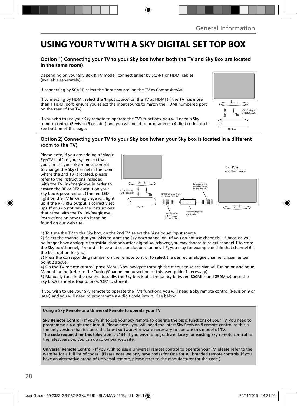### **USING YOUR TV WITH A SKY DIGITAL SET TOP BOX**

#### **Option 1) Connecting your TV to your Sky box (when both the TV and Sky Box are located in the same room)**

Depending on your Sky Box & TV model, connect either by SCART or HDMI cables (available separately) .

If connecting by SCART, select the 'Input source' on the TV as Composite/AV.

If connecting by HDMI, select the 'Input source' on the TV as HDMI (if the TV has more than 1 HDMI port, ensure you select the input source to match the HDMI numbered port on the rear of the TV).

If you wish to use your Sky remote to operate the TV's functions, you will need a Sky remote control (Revision 9 or later) and you will need to programme a 4 digit code into it. See bottom of this page.

### **Option 2) Connecting your TV to your Sky box (when your Sky box is located in a different room to the TV)**

Please note, if you are adding a 'Magic Eye/TV Link' to your system so that you can use your Sky remote control to change the Sky channel in the room where the 2nd TV is located, please refer to the instructions included with the TV link/magic eye in order to ensure the RF or RF2 output on your Sky box is powered on. (The red LED light on the TV link/magic eye will light up if the RF / RF2 output is correctly set up) If you do not have the instructions that came with the TV link/magic eye, instructions on how to do it can be found on our web site.



1) To tune the TV to the Sky box, on the 2nd TV, select the 'Analogue' input source.

2) Select the channel that you wish to store the Sky box/channel on. (If you do not use channels 1-5 because you no longer have analogue terrestrial channels after digital switchover, you may choose to select channel 1 to store the Sky box/channel, if you still have and use analogue channels 1-5, you may for example decide that channel 6 is the best option for you)

3) Press the corresponding number on the remote control to select the desired analogue channel chosen as per point 2 above.

4) On the TV remote control, press Menu. Now navigate through the menus to select Manual Tuning or Analogue Manual tuning (refer to the Tuning/Channel menu section of this user guide if necessary)

5) Manually tune in the channel (usually, the Sky box is at a frequency between 800Mhz and 850Mhz) once the Sky box/channel is found, press 'OK' to store it.

If you wish to use your Sky remote to operate the TV's functions, you will need a Sky remote control (Revision 9 or later) and you will need to programme a 4 digit code into it. See below.

#### **Using a Sky Remote or a Universal Remote to operate your TV**

**Sky Remote Control** - If you wish to use your Sky remote to operate the basic functions of your TV, you need to programme a 4 digit code into it. Please note - you will need the latest Sky Revision 9 remote control as this is the only version that includes the latest software/firmware necessary to operate this model of TV. **The code required for this television is 2134.** If you wish to upgrade/replace your existing Sky remote control to the latest version, you can do so on our web site.

**Universal Remote Control** - If you wish to use a Universal remote control to operate your TV, please refer to the website for a full list of codes. (Please note we only have codes for One for All branded remote controls, if you have an alternative brand of Universal remote, please refer to the manufacturer for the code.)

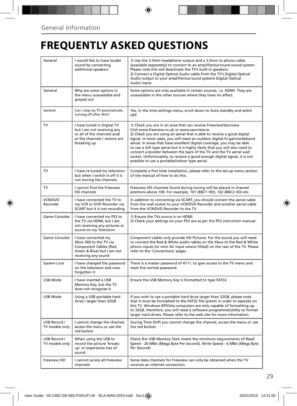# **FREQUENTLY ASKED QUESTIONS**

| General                                                                                                                      | I would like to have louder<br>sound by connecting<br>additional speakers                                                               | 1) Use the 3.5mm headphone output and a 3.5mm to phono cable<br>(available separately) to connect to an amplifier/surround sound system.<br>Please note this will deactivate the TV's built in speakers.<br>2) Connect a Digital Optical Audio cable from the TV's Digital Optical<br>Audio output to your amplifier/surround systems Digital Optical<br>Audio input.                                                                                                                                                                                                                                                                |  |  |
|------------------------------------------------------------------------------------------------------------------------------|-----------------------------------------------------------------------------------------------------------------------------------------|--------------------------------------------------------------------------------------------------------------------------------------------------------------------------------------------------------------------------------------------------------------------------------------------------------------------------------------------------------------------------------------------------------------------------------------------------------------------------------------------------------------------------------------------------------------------------------------------------------------------------------------|--|--|
| General                                                                                                                      | Why are some options in<br>the menu unavailable and<br>greyed out                                                                       | Some options are only available in certain sources, i.e. HDMI. They are<br>unavailable in the other sources where they have no affect.                                                                                                                                                                                                                                                                                                                                                                                                                                                                                               |  |  |
| General                                                                                                                      | Can I stop my TV automatically<br>turning off after 4hrs?                                                                               | Yes, in the time settings menu, scroll down to Auto standby and select<br>OFF.                                                                                                                                                                                                                                                                                                                                                                                                                                                                                                                                                       |  |  |
| TV                                                                                                                           | I have tuned in Digital TV<br>but I am not receiving any<br>or all of the channels and/<br>or the channels I receive are<br>breaking up | 1) Check you are in an area that can receive Freeview/Saorview<br>Visit www.freeview.co.uk or www.saorview.ie<br>2) Check you are using an aerial that is able to receive a good digital<br>signal. In most cases, you will need an outdoor digital hi-gain/wideband<br>aerial. In areas that have excellent digital coverage, you may be able<br>to use a loft type aerial but it is highly likely that you will also need to<br>connect a booster between the back of the TV and the TV aerial wall<br>socket. Unfortunately, to receive a good enough digital signal, it is not<br>possible to use a portable/indoor type aerial. |  |  |
| TV                                                                                                                           | I have re-tuned my television<br>but when I switch it off it is<br>not storing the channels                                             | Complete a first time installation, please refer to the set-up menu section<br>of the manual of how to do this.                                                                                                                                                                                                                                                                                                                                                                                                                                                                                                                      |  |  |
| TV                                                                                                                           | I cannot find the Freeview<br>HD channels                                                                                               | Freeview HD channels found during tuning will be placed in channel<br>positions above 100. For example, 101 (BBC1 HD), 102 (BBC2 HD) etc.                                                                                                                                                                                                                                                                                                                                                                                                                                                                                            |  |  |
| VCR/DVD<br>Recorder                                                                                                          | I have connected the TV to<br>my VCR or DVD Recorder via<br>SCART but it is not recording                                               | In addition to connecting via SCART, you should connect the aerial cable<br>from the wall socket to your VCR/DVD Recorder and another aerial cable<br>from the VCR/DVD Recorder to the TV.                                                                                                                                                                                                                                                                                                                                                                                                                                           |  |  |
| <b>Game Consoles</b>                                                                                                         | I have connected my PS3 to<br>the TV via HDMI, but I am<br>not receiving any pictures or<br>sound on my Television                      | 1) Ensure the TVs source is on HDMI.<br>2) Check your settings on your PS3 are as per the PS3 instruction manual.                                                                                                                                                                                                                                                                                                                                                                                                                                                                                                                    |  |  |
| Game Consoles                                                                                                                | I have connected my<br>Xbox 360 to the TV via<br>Component Cables (Red,<br>Green & Blue) but I am not<br>receiving any sound            | Component cables only provide HD Pictures. For the sound you will need<br>to connect the Red & White audio cables on the Xbox to the Red & White<br>phono inputs (or mini AV input where fitted) on the rear of the TV. Please<br>refer to the 'Connections' pages.                                                                                                                                                                                                                                                                                                                                                                  |  |  |
| System Lock                                                                                                                  | I have changed the password<br>on the television and now<br>forgotten it                                                                | There is a master password of 4711, to gain access to the TV menu and<br>reset the normal password.                                                                                                                                                                                                                                                                                                                                                                                                                                                                                                                                  |  |  |
| <b>USB Mode</b>                                                                                                              | I have inserted a USB<br>Memory Key, but the TV<br>does not recognise it                                                                | Ensure the USB Memory Key is formatted to type FAT32.                                                                                                                                                                                                                                                                                                                                                                                                                                                                                                                                                                                |  |  |
| <b>USB Mode</b>                                                                                                              | Using a USB portable hard<br>drive / larger than 32GB                                                                                   | If you wish to use a portable hard drive larger than 32GB, please note<br>that it must be formatted to the FAT32 file system in order to operate on<br>this TV. Windows XP/Vista computers are only capable of formatting up<br>to 32GB, therefore, you will need a software programme/utility to format<br>larger hard drives. Please refer to the web site for more information.                                                                                                                                                                                                                                                   |  |  |
| USB Record /<br>TV models only                                                                                               | I cannot change the channel,<br>access the menu or use the<br>red button                                                                | During Time Shift you cannot change the channel, access the menu or use<br>the red button                                                                                                                                                                                                                                                                                                                                                                                                                                                                                                                                            |  |  |
| USB Record /<br>When using the USB to<br>TV models only<br>record the picture 'breaks<br>up' or experience loss of<br>sound. |                                                                                                                                         | Check the USB Memory Stick meets the minimum requirements of Read<br>Speed - 20 MB/s (Mega Byte Per Second), Write Speed - 6 MB/s (Mega Byte<br>Per Second)                                                                                                                                                                                                                                                                                                                                                                                                                                                                          |  |  |
| Freeview HD                                                                                                                  | I cannot access all Freeview<br>channels                                                                                                | Some data channels for Freeview can only be obtained when the TV<br>receives an internet connection.                                                                                                                                                                                                                                                                                                                                                                                                                                                                                                                                 |  |  |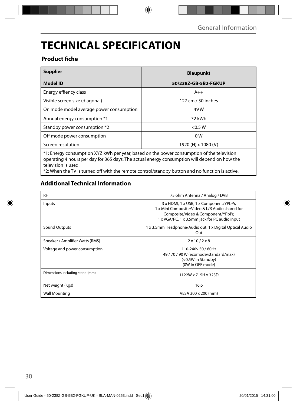# **TECHNICAL SPECIFICATION**

### **Product fiche**

| <b>Supplier</b>                                                                                                                                                                                                  | <b>Blaupunkt</b>     |  |  |  |
|------------------------------------------------------------------------------------------------------------------------------------------------------------------------------------------------------------------|----------------------|--|--|--|
| <b>Model ID</b>                                                                                                                                                                                                  | 50/238Z-GB-5B2-FGKUP |  |  |  |
| Energy effiency class                                                                                                                                                                                            | $A++$                |  |  |  |
| Visible screen size (diagonal)                                                                                                                                                                                   | 127 cm / 50 inches   |  |  |  |
| On mode model average power consumption                                                                                                                                                                          | 49 W                 |  |  |  |
| Annual energy consumption *1                                                                                                                                                                                     | 72 kWh               |  |  |  |
| Standby power consumption *2                                                                                                                                                                                     | < 0.5 W              |  |  |  |
| Off mode power consumption                                                                                                                                                                                       | 0 <sub>W</sub>       |  |  |  |
| Screen resolution                                                                                                                                                                                                | 1920 (H) x 1080 (V)  |  |  |  |
| *1: Energy consumption XYZ kWh per year, based on the power consumption of the television<br>operating 4 hours per day for 365 days. The actual energy consumption will depend on how the<br>television is used. |                      |  |  |  |

\*2: When the TV is turned off with the remote control/standby button and no function is active.

### **Additional Technical Information**

| <b>RF</b>                       | 75 ohm Antenna / Analog / DVB                                                                                                                                                     |  |  |
|---------------------------------|-----------------------------------------------------------------------------------------------------------------------------------------------------------------------------------|--|--|
| Inputs                          | 3 x HDMI, 1 x USB, 1 x Component/YPbPr,<br>1 x Mini Composite/Video & L/R Audio shared for<br>Composite/Video & Component/YPbPr,<br>1 x VGA/PC, 1 x 3.5mm jack for PC audio input |  |  |
| Sound Outputs                   | 1 x 3.5mm Headphone/Audio out, 1 x Digital Optical Audio<br>Out                                                                                                                   |  |  |
| Speaker / Amplifier Watts (RMS) | $2 \times 10 / 2 \times 8$                                                                                                                                                        |  |  |
| Voltage and power consumption   | 110-240y 50 / 60Hz<br>49 / 70 / 90 W (ecomode/standard/max)<br>(<0,5W in Standby)<br>(0W in OFF mode)                                                                             |  |  |
| Dimensions including stand (mm) | 1122W x 715H x 323D                                                                                                                                                               |  |  |
| Net weight (Kgs)                | 16.6                                                                                                                                                                              |  |  |
| <b>Wall Mounting</b>            | VESA 300 x 200 (mm)                                                                                                                                                               |  |  |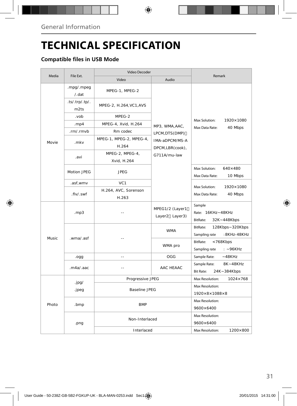## **TECHNICAL SPECIFICATION**

### **Compatible files in USB Mode**

|       |                               | Video Decoder           | Remark                            |                                                         |  |
|-------|-------------------------------|-------------------------|-----------------------------------|---------------------------------------------------------|--|
| Media | File Ext.                     | Video<br>Audio          |                                   |                                                         |  |
|       | .mpg/.mpeg                    | MPEG-1, MPEG-2          |                                   |                                                         |  |
|       | /.dat                         |                         |                                   |                                                         |  |
|       | $(ts/\text{trp}/t)$ .<br>m2ts | MPEG-2, H.264, VC1, AVS |                                   | Max Solution:<br>1920×1080<br>Max Data Rate:<br>40 Mbps |  |
|       | .vob                          | MPEG-2                  |                                   |                                                         |  |
|       | .mp4                          | MPEG-4, Xvid, H.264     | MP3, WMA, AAC,                    |                                                         |  |
|       | .rm/.rmvb                     | Rm codec                | LPCM, DTS(DMP)                    |                                                         |  |
|       | .mkv                          | MPEG-1, MPEG-2, MPEG-4, | IMA-aDPCM/MS-A                    |                                                         |  |
| Movie |                               | H.264                   | DPCM,LBR(cook),                   |                                                         |  |
|       |                               | MPEG-2, MPEG-4,         | G711A/mu-law                      |                                                         |  |
|       | .avi                          | Xvid, H.264             |                                   |                                                         |  |
|       |                               |                         |                                   | Max Solution:<br>$640\times480$                         |  |
|       | Motion JPEG                   | <b>JPEG</b>             |                                   | Max Data Rate:<br>10 Mbps                               |  |
|       | .asf, wmv                     | VC <sub>1</sub>         |                                   |                                                         |  |
|       | .flv/.swf                     | H.264, AVC, Sorenson    |                                   | Max Solution:<br>1920×1080<br>Max Data Rate:            |  |
|       |                               | H.263                   |                                   | 40 Mbps                                                 |  |
|       | mp3                           |                         | MPEG1/2 (Layer1<br>Layer2 Layer3) | Sample<br>Rate: 16KHz~48KHz<br>BitRate:<br>32K~448Kbps  |  |
|       | .wma/.asf                     |                         |                                   | BitRate:<br>128Kbps~320Kbps                             |  |
|       |                               |                         | <b>WMA</b>                        | :8KHz-48KHz<br>Sampling rate                            |  |
| Music |                               |                         | WMA pro                           | BitRate:<br>< 768Kbps                                   |  |
|       |                               |                         |                                   | Sampling rate<br>$: -96KHz$                             |  |
|       | .ogg                          | $-$                     | OGG                               | Sample Rate:<br>$-48K$ Hz                               |  |
|       | .m4a/aac                      |                         | AAC HEAAC                         | 8K~48KHz<br>Sample Rate:                                |  |
|       |                               |                         |                                   | <b>Bit Rate:</b><br>24K~384Kbps                         |  |
|       | .jpg/                         | Progressive JPEG        | Max Resolution:<br>1024×768       |                                                         |  |
|       | .jpeg                         | <b>Baseline JPEG</b>    |                                   | Max Resolution:                                         |  |
|       |                               |                         |                                   | $1920\times8\times1088\times8$                          |  |
| Photo | .bmp                          | <b>BMP</b>              |                                   | Max Resolution:                                         |  |
|       |                               |                         |                                   | 9600×6400                                               |  |
|       |                               | Non-Interlaced          |                                   | Max Resolution:                                         |  |
|       | .png                          |                         |                                   | 9600×6400                                               |  |
|       |                               | Interlaced              | Max Resolution:<br>1200×800       |                                                         |  |